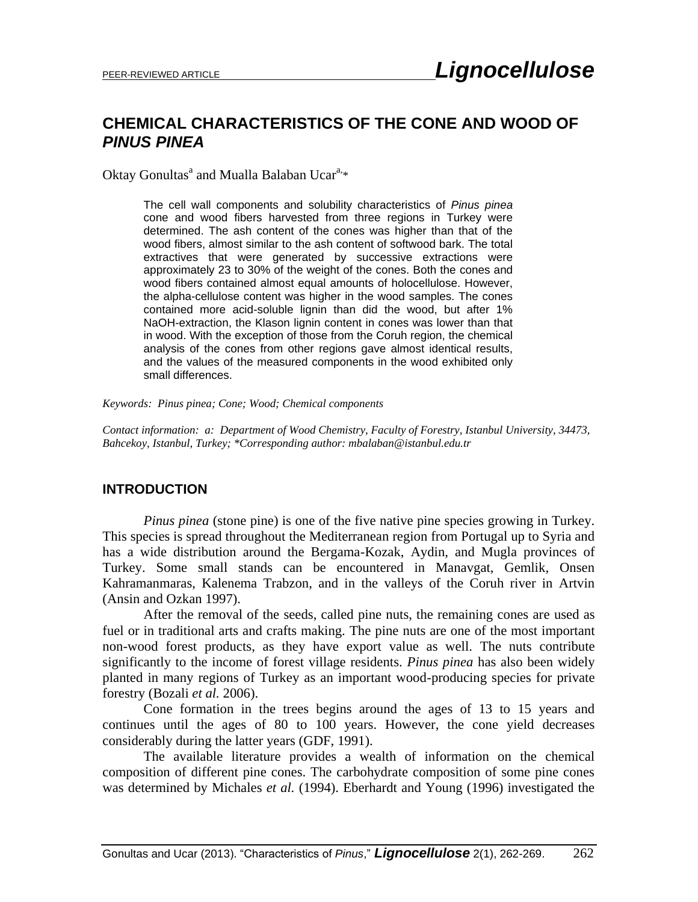# **CHEMICAL CHARACTERISTICS OF THE CONE AND WOOD OF**  *PINUS PINEA*

Oktay Gonultas<sup>a</sup> and Mualla Balaban Ucar<sup>a,\*</sup>

The cell wall components and solubility characteristics of *Pinus pinea* cone and wood fibers harvested from three regions in Turkey were determined. The ash content of the cones was higher than that of the wood fibers, almost similar to the ash content of softwood bark. The total extractives that were generated by successive extractions were approximately 23 to 30% of the weight of the cones. Both the cones and wood fibers contained almost equal amounts of holocellulose. However, the alpha-cellulose content was higher in the wood samples. The cones contained more acid-soluble lignin than did the wood, but after 1% NaOH-extraction, the Klason lignin content in cones was lower than that in wood. With the exception of those from the Coruh region, the chemical analysis of the cones from other regions gave almost identical results, and the values of the measured components in the wood exhibited only small differences.

*Keywords: Pinus pinea; Cone; Wood; Chemical components*

*Contact information: a: Department of Wood Chemistry, Faculty of Forestry, Istanbul University, 34473, Bahcekoy, Istanbul, Turkey; \*Corresponding author: mbalaban@istanbul.edu.tr*

### **INTRODUCTION**

*Pinus pinea* (stone pine) is one of the five native pine species growing in Turkey. This species is spread throughout the Mediterranean region from Portugal up to Syria and has a wide distribution around the Bergama-Kozak, Aydin, and Mugla provinces of Turkey. Some small stands can be encountered in Manavgat, Gemlik, Onsen Kahramanmaras, Kalenema Trabzon, and in the valleys of the Coruh river in Artvin (Ansin and Ozkan 1997).

After the removal of the seeds, called pine nuts, the remaining cones are used as fuel or in traditional arts and crafts making. The pine nuts are one of the most important non-wood forest products, as they have export value as well. The nuts contribute significantly to the income of forest village residents. *Pinus pinea* has also been widely planted in many regions of Turkey as an important wood-producing species for private forestry (Bozali *et al.* 2006).

Cone formation in the trees begins around the ages of 13 to 15 years and continues until the ages of 80 to 100 years. However, the cone yield decreases considerably during the latter years (GDF, 1991).

The available literature provides a wealth of information on the chemical composition of different pine cones. The carbohydrate composition of some pine cones was determined by Michales *et al.* (1994). Eberhardt and Young (1996) investigated the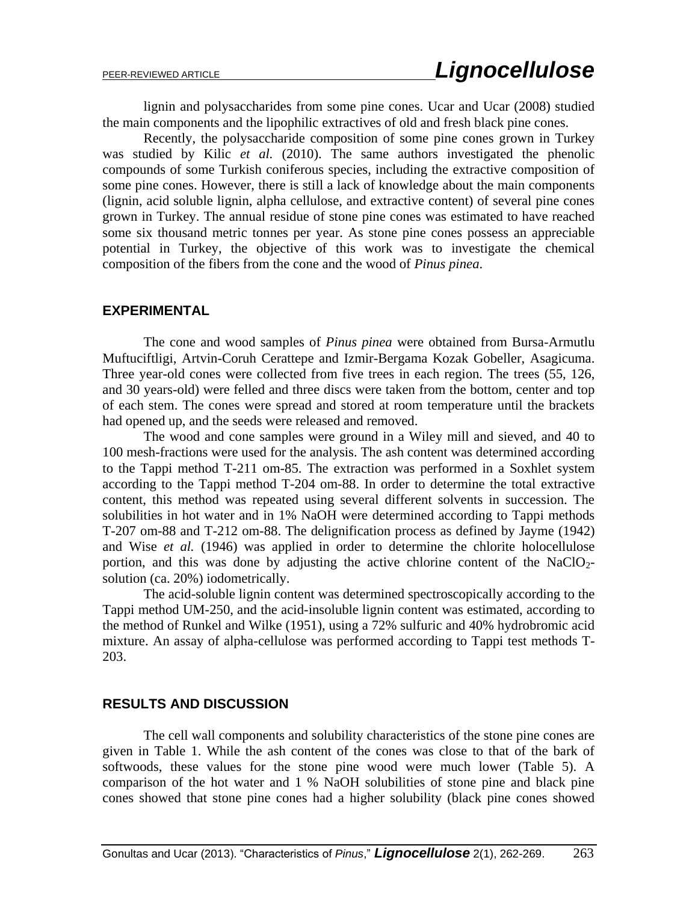lignin and polysaccharides from some pine cones. Ucar and Ucar (2008) studied the main components and the lipophilic extractives of old and fresh black pine cones.

Recently, the polysaccharide composition of some pine cones grown in Turkey was studied by Kilic *et al.* (2010). The same authors investigated the phenolic compounds of some Turkish coniferous species, including the extractive composition of some pine cones. However, there is still a lack of knowledge about the main components (lignin, acid soluble lignin, alpha cellulose, and extractive content) of several pine cones grown in Turkey. The annual residue of stone pine cones was estimated to have reached some six thousand metric tonnes per year. As stone pine cones possess an appreciable potential in Turkey, the objective of this work was to investigate the chemical composition of the fibers from the cone and the wood of *Pinus pinea*.

#### **EXPERIMENTAL**

The cone and wood samples of *Pinus pinea* were obtained from Bursa-Armutlu Muftuciftligi, Artvin-Coruh Cerattepe and Izmir-Bergama Kozak Gobeller, Asagicuma. Three year-old cones were collected from five trees in each region. The trees (55, 126, and 30 years-old) were felled and three discs were taken from the bottom, center and top of each stem. The cones were spread and stored at room temperature until the brackets had opened up, and the seeds were released and removed.

The wood and cone samples were ground in a Wiley mill and sieved, and 40 to 100 mesh-fractions were used for the analysis. The ash content was determined according to the Tappi method T-211 om-85. The extraction was performed in a Soxhlet system according to the Tappi method T-204 om-88. In order to determine the total extractive content, this method was repeated using several different solvents in succession. The solubilities in hot water and in 1% NaOH were determined according to Tappi methods T-207 om-88 and T-212 om-88. The delignification process as defined by Jayme (1942) and Wise *et al.* (1946) was applied in order to determine the chlorite holocellulose portion, and this was done by adjusting the active chlorine content of the NaClO<sub>2</sub>solution (ca. 20%) iodometrically.

The acid-soluble lignin content was determined spectroscopically according to the Tappi method UM-250, and the acid-insoluble lignin content was estimated, according to the method of Runkel and Wilke (1951), using a 72% sulfuric and 40% hydrobromic acid mixture. An assay of alpha-cellulose was performed according to Tappi test methods T-203.

#### **RESULTS AND DISCUSSION**

The cell wall components and solubility characteristics of the stone pine cones are given in Table 1. While the ash content of the cones was close to that of the bark of softwoods, these values for the stone pine wood were much lower (Table 5). A comparison of the hot water and 1 % NaOH solubilities of stone pine and black pine cones showed that stone pine cones had a higher solubility (black pine cones showed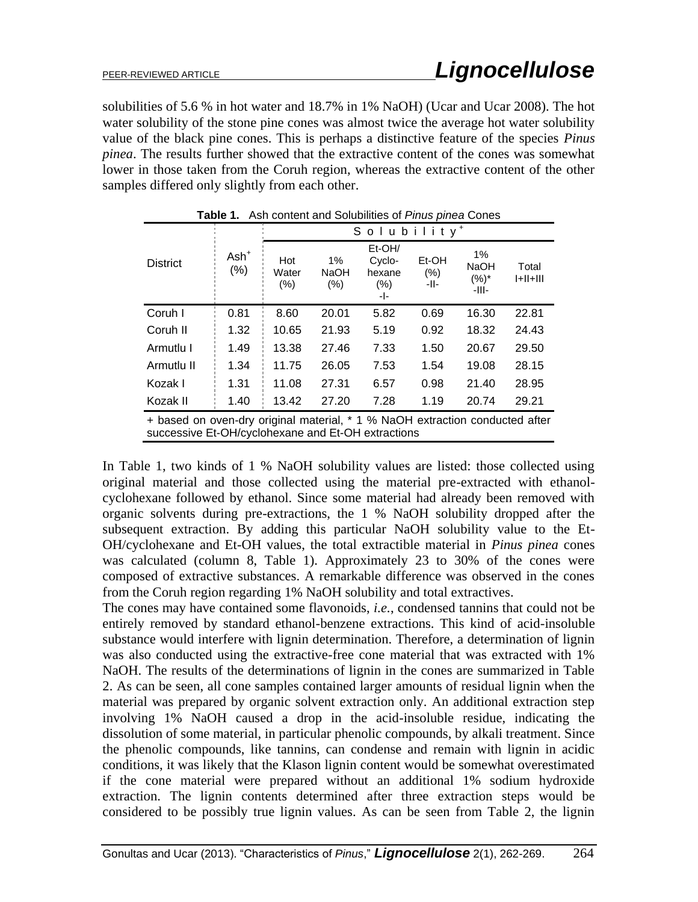solubilities of 5.6 % in hot water and 18.7% in 1% NaOH) (Ucar and Ucar 2008). The hot water solubility of the stone pine cones was almost twice the average hot water solubility value of the black pine cones. This is perhaps a distinctive feature of the species *Pinus pinea*. The results further showed that the extractive content of the cones was somewhat lower in those taken from the Coruh region, whereas the extractive content of the other samples differed only slightly from each other.

| Their corrective and condemned of Timag pincal correct                                                                             |                    |                         |                           |                                              |                       |                                          |                     |  |  |
|------------------------------------------------------------------------------------------------------------------------------------|--------------------|-------------------------|---------------------------|----------------------------------------------|-----------------------|------------------------------------------|---------------------|--|--|
|                                                                                                                                    |                    | Solubility <sup>+</sup> |                           |                                              |                       |                                          |                     |  |  |
| <b>District</b>                                                                                                                    | $Ash^+$<br>$(\% )$ | Hot<br>Water<br>(%)     | 1%<br><b>NaOH</b><br>(% ) | Et-OH/<br>Cyclo-<br>hexane<br>$(\% )$<br>-1- | Et-OH<br>(% )<br>-II- | $1\%$<br><b>NaOH</b><br>$(%)^*$<br>-III- | Total<br>$ +  +   $ |  |  |
| Coruh I                                                                                                                            | 0.81               | 8.60                    | 20.01                     | 5.82                                         | 0.69                  | 16.30                                    | 22.81               |  |  |
| Coruh II                                                                                                                           | 1.32               | 10.65                   | 21.93                     | 5.19                                         | 0.92                  | 18.32                                    | 24.43               |  |  |
| Armutlu I                                                                                                                          | 1.49               | 13.38                   | 27.46                     | 7.33                                         | 1.50                  | 20.67                                    | 29.50               |  |  |
| Armutlu II                                                                                                                         | 1.34               | 11.75                   | 26.05                     | 7.53                                         | 1.54                  | 19.08                                    | 28.15               |  |  |
| Kozak I                                                                                                                            | 1.31               | 11.08                   | 27.31                     | 6.57                                         | 0.98                  | 21.40                                    | 28.95               |  |  |
| Kozak II                                                                                                                           | 1.40               | 13.42                   | 27.20                     | 7.28                                         | 1.19                  | 20.74                                    | 29.21               |  |  |
| + based on oven-dry original material, * 1 % NaOH extraction conducted after<br>successive Et-OH/cyclohexane and Et-OH extractions |                    |                         |                           |                                              |                       |                                          |                     |  |  |

**Table 1.** Ash content and Solubilities of *Pinus pinea* Cones

In Table 1, two kinds of 1 % NaOH solubility values are listed: those collected using original material and those collected using the material pre-extracted with ethanolcyclohexane followed by ethanol. Since some material had already been removed with organic solvents during pre-extractions, the 1 % NaOH solubility dropped after the subsequent extraction. By adding this particular NaOH solubility value to the Et-OH/cyclohexane and Et-OH values, the total extractible material in *Pinus pinea* cones was calculated (column 8, Table 1). Approximately 23 to 30% of the cones were composed of extractive substances. A remarkable difference was observed in the cones from the Coruh region regarding 1% NaOH solubility and total extractives.

The cones may have contained some flavonoids, *i.e.*, condensed tannins that could not be entirely removed by standard ethanol-benzene extractions. This kind of acid-insoluble substance would interfere with lignin determination. Therefore, a determination of lignin was also conducted using the extractive-free cone material that was extracted with 1% NaOH. The results of the determinations of lignin in the cones are summarized in Table 2. As can be seen, all cone samples contained larger amounts of residual lignin when the material was prepared by organic solvent extraction only. An additional extraction step involving 1% NaOH caused a drop in the acid-insoluble residue, indicating the dissolution of some material, in particular phenolic compounds, by alkali treatment. Since the phenolic compounds, like tannins, can condense and remain with lignin in acidic conditions, it was likely that the Klason lignin content would be somewhat overestimated if the cone material were prepared without an additional 1% sodium hydroxide extraction. The lignin contents determined after three extraction steps would be considered to be possibly true lignin values. As can be seen from Table 2, the lignin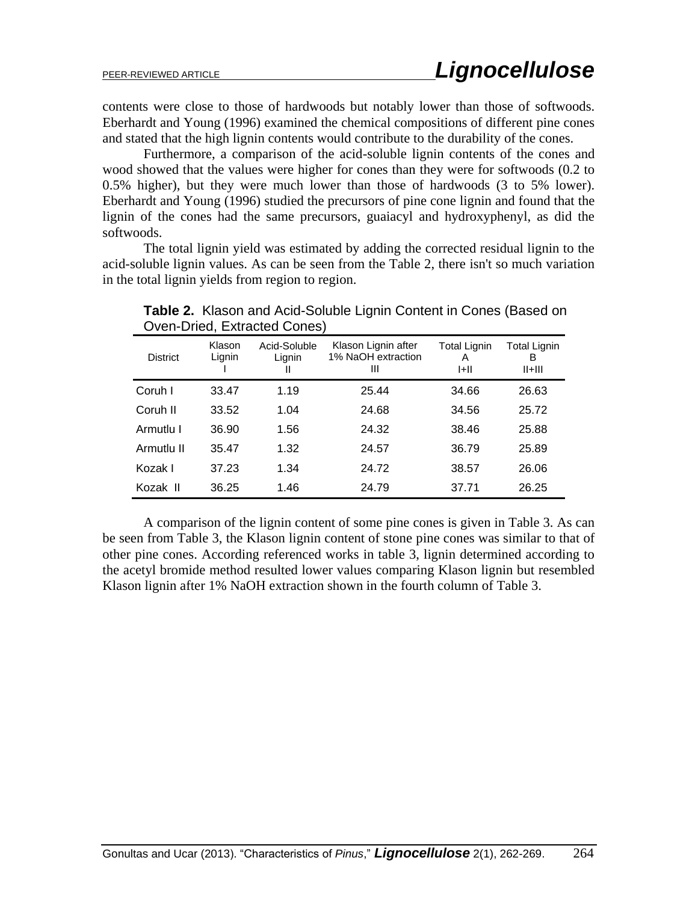contents were close to those of hardwoods but notably lower than those of softwoods. Eberhardt and Young (1996) examined the chemical compositions of different pine cones and stated that the high lignin contents would contribute to the durability of the cones.

Furthermore, a comparison of the acid-soluble lignin contents of the cones and wood showed that the values were higher for cones than they were for softwoods (0.2 to 0.5% higher), but they were much lower than those of hardwoods (3 to 5% lower). Eberhardt and Young (1996) studied the precursors of pine cone lignin and found that the lignin of the cones had the same precursors, guaiacyl and hydroxyphenyl, as did the softwoods.

The total lignin yield was estimated by adding the corrected residual lignin to the acid-soluble lignin values. As can be seen from the Table 2, there isn't so much variation in the total lignin yields from region to region.

|                 |                  | Ovon Briod, Extraotod Obrio <i>d</i> , |                                                |                               |                                      |
|-----------------|------------------|----------------------------------------|------------------------------------------------|-------------------------------|--------------------------------------|
| <b>District</b> | Klason<br>Lignin | Acid-Soluble<br>Lignin<br>Ш            | Klason Lignin after<br>1% NaOH extraction<br>Ш | <b>Total Lignin</b><br>A<br>H | <b>Total Lignin</b><br>в<br>$II+III$ |
| Coruh I         | 33.47            | 1.19                                   | 25.44                                          | 34.66                         | 26.63                                |
| Coruh II        | 33.52            | 1.04                                   | 24.68                                          | 34.56                         | 25.72                                |
| Armutlu I       | 36.90            | 1.56                                   | 24.32                                          | 38.46                         | 25.88                                |
| Armutlu II      | 35.47            | 1.32                                   | 24.57                                          | 36.79                         | 25.89                                |
| Kozak I         | 37.23            | 1.34                                   | 24.72                                          | 38.57                         | 26.06                                |
| Kozak II        | 36.25            | 1.46                                   | 24.79                                          | 37.71                         | 26.25                                |

**Table 2.** Klason and Acid-Soluble Lignin Content in Cones (Based on Oven-Dried, Extracted Cones)

A comparison of the lignin content of some pine cones is given in Table 3. As can be seen from Table 3, the Klason lignin content of stone pine cones was similar to that of other pine cones. According referenced works in table 3, lignin determined according to the acetyl bromide method resulted lower values comparing Klason lignin but resembled Klason lignin after 1% NaOH extraction shown in the fourth column of Table 3.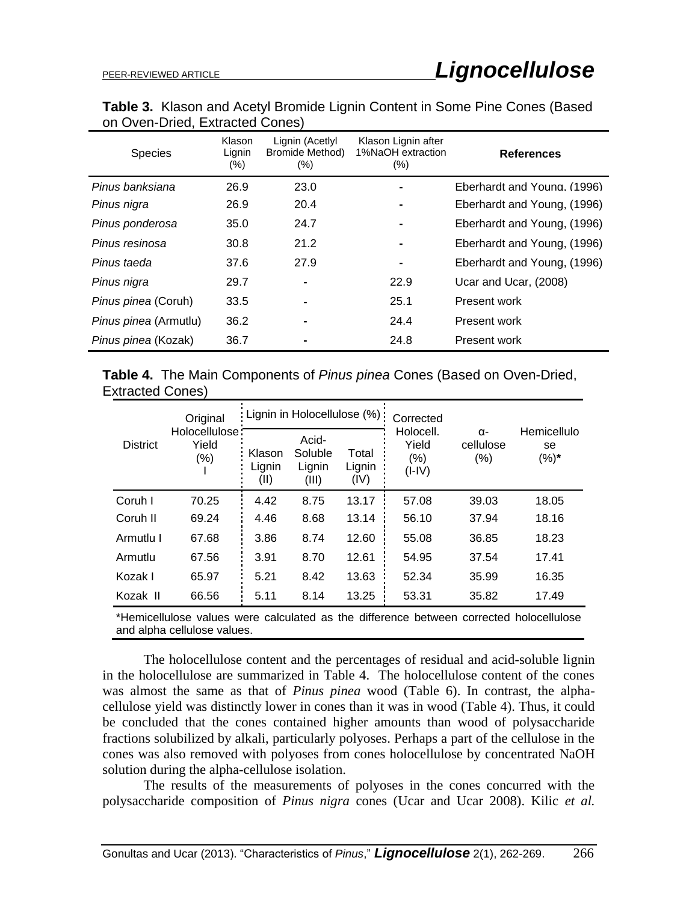|                                 | <b>Table 3.</b> Klason and Acetyl Bromide Lignin Content in Some Pine Cones (Based |  |
|---------------------------------|------------------------------------------------------------------------------------|--|
| on Oven-Dried, Extracted Cones) |                                                                                    |  |

| <b>Species</b>             | Klason<br>Lignin<br>$(\%)$ | Lignin (Acetlyl<br>Bromide Method)<br>$(\% )$ | Klason Lignin after<br>1%NaOH extraction<br>$(\% )$ | <b>References</b>           |
|----------------------------|----------------------------|-----------------------------------------------|-----------------------------------------------------|-----------------------------|
| Pinus banksiana            | 26.9                       | 23.0                                          |                                                     | Eberhardt and Young. (1996) |
| Pinus nigra                | 26.9                       | 20.4                                          |                                                     | Eberhardt and Young, (1996) |
| Pinus ponderosa            | 35.0                       | 24.7                                          |                                                     | Eberhardt and Young, (1996) |
| Pinus resinosa             | 30.8                       | 21.2                                          |                                                     | Eberhardt and Young, (1996) |
| Pinus taeda                | 37.6                       | 27.9                                          |                                                     | Eberhardt and Young, (1996) |
| Pinus nigra                | 29.7                       |                                               | 22.9                                                | Ucar and Ucar, (2008)       |
| <i>Pinus pinea (Coruh)</i> | 33.5                       | $\blacksquare$                                | 25.1                                                | Present work                |
| Pinus pinea (Armutlu)      | 36.2                       |                                               | 24.4                                                | Present work                |
| Pinus pinea (Kozak)        | 36.7                       |                                               | 24.8                                                | Present work                |

**Table 4.** The Main Components of *Pinus pinea* Cones (Based on Oven-Dried, Extracted Cones)

| <b>District</b> | Original                           | : Lignin in Holocellulose (%) |                                     |                         | Corrected                                 |                                    |                           |
|-----------------|------------------------------------|-------------------------------|-------------------------------------|-------------------------|-------------------------------------------|------------------------------------|---------------------------|
|                 | Holocellulose:<br>Yield<br>$(\% )$ | Klason<br>Lignin<br>(II)      | Acid-<br>Soluble<br>Lignin<br>(III) | Total<br>Lignin<br>(IV) | Holocell.<br>Yield<br>$(\% )$<br>$(I-IV)$ | $\alpha$ -<br>cellulose<br>$(\% )$ | Hemicellulo<br>se<br>(%)* |
| Coruh I         | 70.25                              | 4.42                          | 8.75                                | 13.17                   | 57.08                                     | 39.03                              | 18.05                     |
| Coruh II        | 69.24                              | 4.46                          | 8.68                                | 13.14                   | 56.10                                     | 37.94                              | 18.16                     |
| Armutlu I       | 67.68                              | 3.86                          | 8.74                                | 12.60                   | 55.08                                     | 36.85                              | 18.23                     |
| Armutlu         | 67.56                              | 3.91                          | 8.70                                | 12.61                   | 54.95                                     | 37.54                              | 17.41                     |
| Kozak I         | 65.97                              | 5.21                          | 8.42                                | 13.63                   | 52.34                                     | 35.99                              | 16.35                     |
| Kozak II        | 66.56                              | 5.11                          | 8.14                                | 13.25                   | 53.31                                     | 35.82                              | 17.49                     |
|                 |                                    |                               |                                     |                         |                                           |                                    |                           |

<sup>\*</sup>Hemicellulose values were calculated as the difference between corrected holocellulose and alpha cellulose values.

The holocellulose content and the percentages of residual and acid-soluble lignin in the holocellulose are summarized in Table 4. The holocellulose content of the cones was almost the same as that of *Pinus pinea* wood (Table 6). In contrast, the alphacellulose yield was distinctly lower in cones than it was in wood (Table 4). Thus, it could be concluded that the cones contained higher amounts than wood of polysaccharide fractions solubilized by alkali, particularly polyoses. Perhaps a part of the cellulose in the cones was also removed with polyoses from cones holocellulose by concentrated NaOH solution during the alpha-cellulose isolation.

The results of the measurements of polyoses in the cones concurred with the polysaccharide composition of *Pinus nigra* cones (Ucar and Ucar 2008). Kilic *et al.*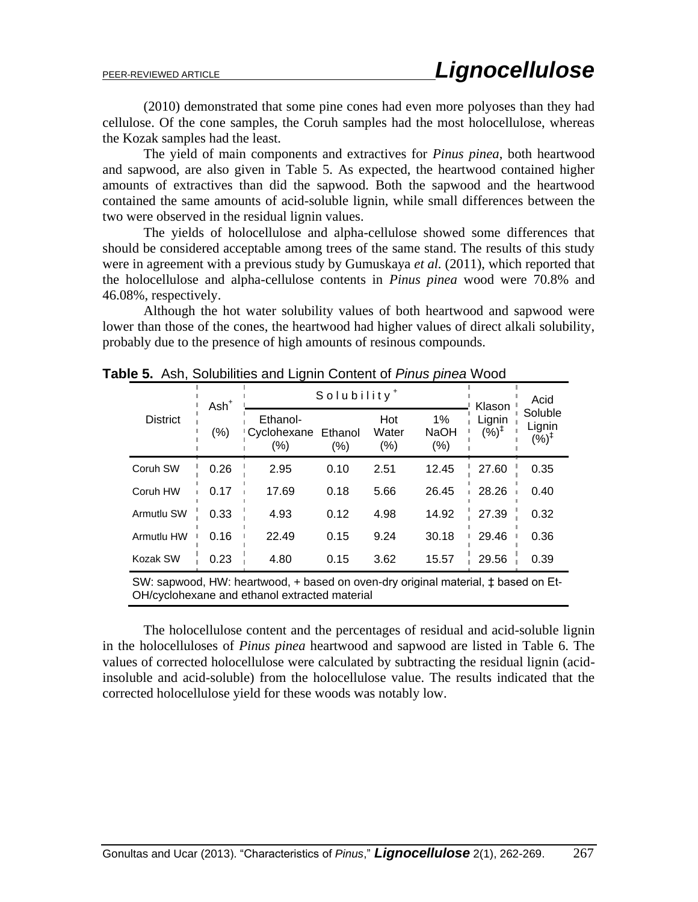(2010) demonstrated that some pine cones had even more polyoses than they had cellulose. Of the cone samples, the Coruh samples had the most holocellulose, whereas the Kozak samples had the least.

The yield of main components and extractives for *Pinus pinea*, both heartwood and sapwood, are also given in Table 5. As expected, the heartwood contained higher amounts of extractives than did the sapwood. Both the sapwood and the heartwood contained the same amounts of acid-soluble lignin, while small differences between the two were observed in the residual lignin values.

The yields of holocellulose and alpha-cellulose showed some differences that should be considered acceptable among trees of the same stand. The results of this study were in agreement with a previous study by Gumuskaya *et al.* (2011), which reported that the holocellulose and alpha-cellulose contents in *Pinus pinea* wood were 70.8% and 46.08%, respectively.

Although the hot water solubility values of both heartwood and sapwood were lower than those of the cones, the heartwood had higher values of direct alkali solubility, probably due to the presence of high amounts of resinous compounds.

|                 | $Ash+$  | Solubility <sup>+</sup>        | Klason            | Acid                 |                              |                                   |                                       |
|-----------------|---------|--------------------------------|-------------------|----------------------|------------------------------|-----------------------------------|---------------------------------------|
| <b>District</b> | $(\% )$ | Ethanol-<br>Cyclohexane<br>(%) | Ethanol<br>$(\%)$ | Hot<br>Water<br>(% ) | 1%<br><b>NaOH</b><br>$(\% )$ | Lignin<br>$(\bar{\%})^{\ddagger}$ | Soluble<br>Lignin<br>(%) <sup>‡</sup> |
| Coruh SW        | 0.26    | 2.95                           | 0.10              | 2.51                 | 12.45                        | 27.60                             | 0.35                                  |
| Coruh HW        | 0.17    | 17.69                          | 0.18              | 5.66                 | 26.45                        | 28.26                             | 0.40                                  |
| Armutlu SW      | 0.33    | 4.93                           | 0.12              | 4.98                 | 14.92                        | 27.39                             | 0.32                                  |
| Armutlu HW      | 0.16    | 22.49                          | 0.15              | 9.24                 | 30.18                        | 29.46                             | 0.36                                  |
| Kozak SW        | 0.23    | 4.80                           | 0.15              | 3.62                 | 15.57                        | 29.56                             | 0.39                                  |

**Table 5.** Ash, Solubilities and Lignin Content of *Pinus pinea* Wood

SW: sapwood, HW: heartwood, + based on oven-dry original material, ‡ based on Et-OH/cyclohexane and ethanol extracted material

The holocellulose content and the percentages of residual and acid-soluble lignin in the holocelluloses of *Pinus pinea* heartwood and sapwood are listed in Table 6. The values of corrected holocellulose were calculated by subtracting the residual lignin (acidinsoluble and acid-soluble) from the holocellulose value. The results indicated that the corrected holocellulose yield for these woods was notably low.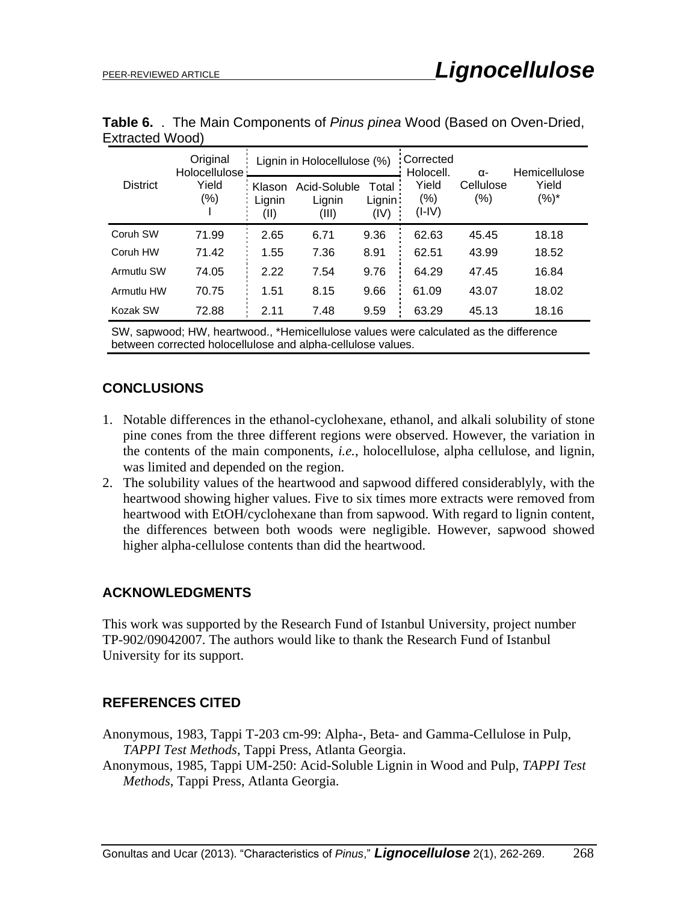| <b>District</b> | Original<br>Holocellulose<br>Yield<br>$(\% )$ | Lignin in Holocellulose (%) |                                 |                          | Corrected<br>Holocell.       | $\alpha$ -       | Hemicellulose    |
|-----------------|-----------------------------------------------|-----------------------------|---------------------------------|--------------------------|------------------------------|------------------|------------------|
|                 |                                               | Klason<br>Lignin<br>(II)    | Acid-Soluble<br>Lignin<br>(III) | Total<br>Lignin:<br>(IV) | Yield<br>$(\% )$<br>$(I-IV)$ | Cellulose<br>(%) | Yield<br>$(%)^*$ |
| Coruh SW        | 71.99                                         | 2.65                        | 6.71                            | 9.36                     | 62.63                        | 45.45            | 18.18            |
| Coruh HW        | 71.42                                         | 1.55                        | 7.36                            | 8.91                     | 62.51                        | 43.99            | 18.52            |
| Armutlu SW      | 74.05                                         | 2.22                        | 7.54                            | 9.76                     | 64.29                        | 47.45            | 16.84            |
| Armutlu HW      | 70.75                                         | 1.51                        | 8.15                            | 9.66                     | 61.09                        | 43.07            | 18.02            |
| Kozak SW        | 72.88                                         | 2.11                        | 7.48                            | 9.59                     | 63.29                        | 45.13            | 18.16            |

**Table 6.** . The Main Components of *Pinus pinea* Wood (Based on Oven-Dried, Extracted Wood)

SW, sapwood; HW, heartwood., \*Hemicellulose values were calculated as the difference between corrected holocellulose and alpha-cellulose values.

### **CONCLUSIONS**

- 1. Notable differences in the ethanol-cyclohexane, ethanol, and alkali solubility of stone pine cones from the three different regions were observed. However, the variation in the contents of the main components, *i.e.*, holocellulose, alpha cellulose, and lignin, was limited and depended on the region.
- 2. The solubility values of the heartwood and sapwood differed considerablyly, with the heartwood showing higher values. Five to six times more extracts were removed from heartwood with EtOH/cyclohexane than from sapwood. With regard to lignin content, the differences between both woods were negligible. However, sapwood showed higher alpha-cellulose contents than did the heartwood.

### **ACKNOWLEDGMENTS**

This work was supported by the Research Fund of Istanbul University, project number TP-902/09042007. The authors would like to thank the Research Fund of Istanbul University for its support.

## **REFERENCES CITED**

Anonymous, 1983, Tappi T-203 cm-99: Alpha-, Beta- and Gamma-Cellulose in Pulp, *TAPPI Test Methods*, Tappi Press, Atlanta Georgia.

Anonymous, 1985, Tappi UM-250: Acid-Soluble Lignin in Wood and Pulp, *TAPPI Test Methods*, Tappi Press, Atlanta Georgia.